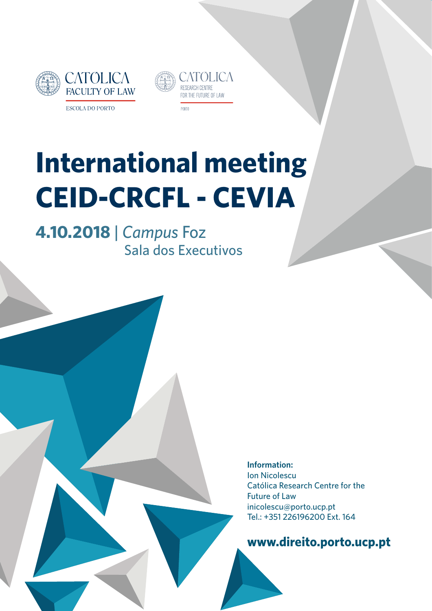



# **International meeting CEID-CRCFL - CEVIA**

**4.10.2018** *| Campus* Foz Sala dos Executivos

> **Information:** Ion Nicolescu Católica Research Centre for the Future of Law inicolescu@porto.ucp.pt Tel.: +351 226196200 Ext. 164

**www.direito.porto.ucp.pt**